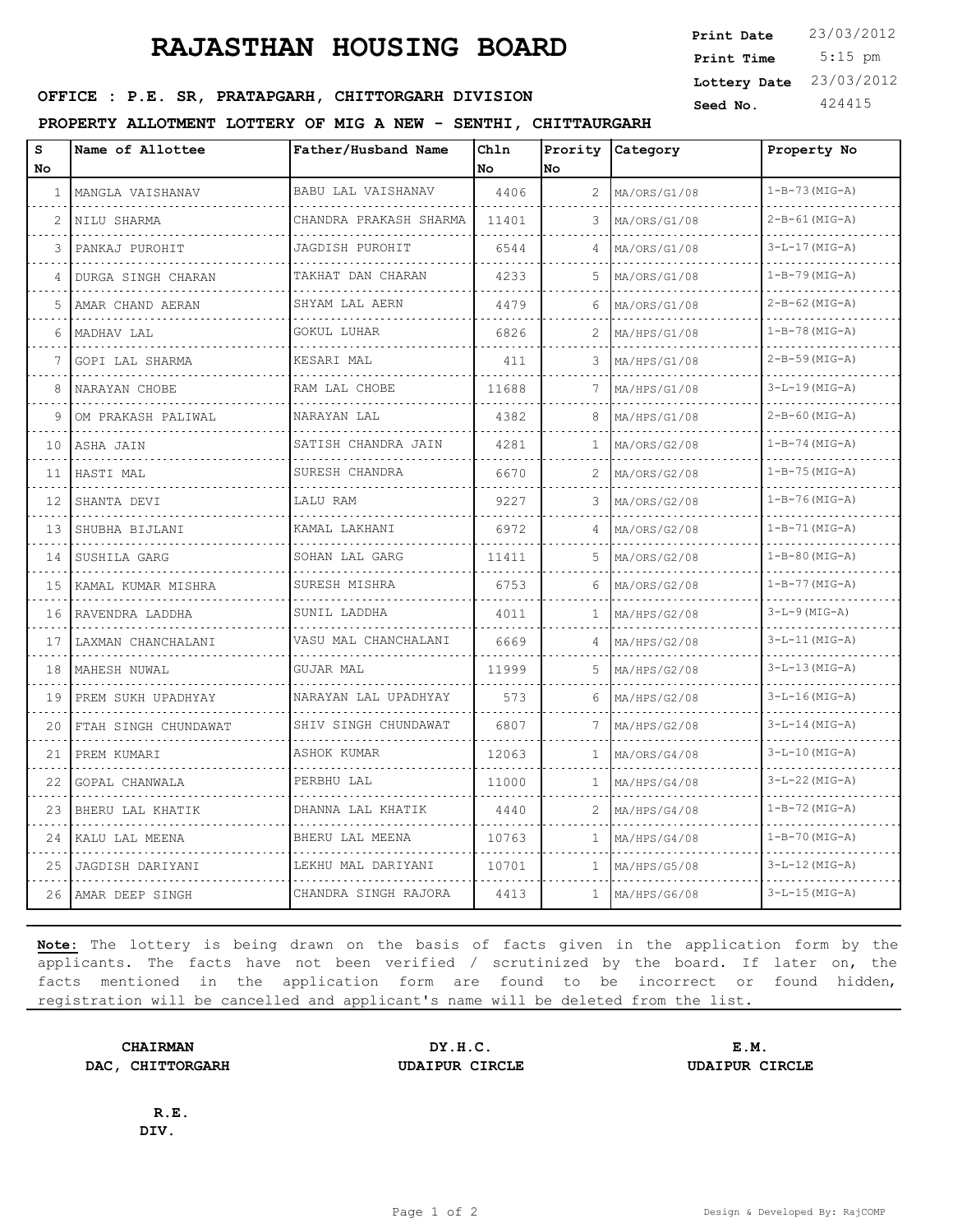## **RAJASTHAN HOUSING BOARD**

 5:15 pm **Print Date**  $23/03/2012$ **Print Time Lottery Date** 23/03/2012

## **SERICE : P.E. SR, PRATAPGARH, CHITTORGARH DIVISION** Seed No. 424415

## **PROPERTY ALLOTMENT LOTTERY OF MIG A NEW - SENTHI, CHITTAURGARH**

| S  | Name of Allottee     | Father/Husband Name      | Chln  |                | Prority Category | Property No          |
|----|----------------------|--------------------------|-------|----------------|------------------|----------------------|
| No |                      |                          | No    | No             |                  |                      |
| 1  | MANGLA VAISHANAV     | BABU LAL VAISHANAV       | 4406  | $\overline{2}$ | MA/ORS/G1/08     | $1-B-73$ (MIG-A)     |
| 2  | NILU SHARMA          | CHANDRA PRAKASH SHARMA   | 11401 | 3              | MA/ORS/G1/08     | $2-B-61$ (MIG-A)     |
| 3  | PANKAJ PUROHIT       | JAGDISH PUROHIT          | 6544  | 4              | MA/ORS/G1/08     | $3-L-17$ (MIG-A)     |
| 4  | DURGA SINGH CHARAN   | TAKHAT DAN CHARAN        | 4233  | 5              | MA/ORS/G1/08     | $1 - B - 79$ (MIG-A) |
| 5  | AMAR CHAND AERAN     | SHYAM LAL AERN           | 4479  | 6              | MA/ORS/G1/08     | $2 - B - 62$ (MIG-A) |
| 6  | MADHAV LAL           | GOKUL LUHAR              | 6826  | 2              | MA/HPS/G1/08     | $1-B-78$ (MIG-A)     |
| 7  | GOPI LAL SHARMA      | KESARI MAL               | 411   | 3              | MA/HPS/G1/08     | 2-B-59 (MIG-A)       |
| 8  | NARAYAN CHOBE        | RAM LAL CHOBE            | 11688 | 7              | MA/HPS/G1/08     | $3-L-19$ (MIG-A)     |
| 9  | OM PRAKASH PALIWAL   | NARAYAN LAL              | 4382  | 8              | MA/HPS/G1/08     | $2 - B - 60$ (MIG-A) |
| 10 | ASHA JAIN            | SATISH CHANDRA JAIN<br>. | 4281  | 1              | MA/ORS/G2/08     | $1 - B - 74$ (MIG-A) |
| 11 | HASTI MAL            | SURESH CHANDRA           | 6670  | 2              | MA/ORS/G2/08     | $1 - B - 75$ (MIG-A) |
| 12 | SHANTA DEVI          | LALU RAM                 | 9227  | 3              | MA/ORS/G2/08     | $1-B-76$ (MIG-A)     |
| 13 | SHUBHA BIJLANI       | KAMAL LAKHANI<br>.       | 6972  | 4              | MA/ORS/G2/08     | $1 - B - 71$ (MIG-A) |
| 14 | SUSHILA GARG         | SOHAN LAL GARG           | 11411 | 5              | MA/ORS/G2/08     | $1 - B - 80$ (MIG-A) |
| 15 | KAMAL KUMAR MISHRA   | SURESH MISHRA            | 6753  | 6              | MA/ORS/G2/08     | $1 - B - 77$ (MIG-A) |
| 16 | RAVENDRA LADDHA      | SUNIL LADDHA             | 4011  | 1              | MA/HPS/G2/08     | $3-L-9$ (MIG-A)      |
| 17 | LAXMAN CHANCHALANI   | VASU MAL CHANCHALANI     | 6669  | 4              | MA/HPS/G2/08     | $3-L-11$ (MIG-A)     |
| 18 | MAHESH NUWAL         | GUJAR MAL                | 11999 | 5.             | MA/HPS/G2/08     | $3-L-13$ (MIG-A)     |
| 19 | PREM SUKH UPADHYAY   | NARAYAN LAL UPADHYAY     | 573   | 6              | MA/HPS/G2/08     | $3-L-16$ (MIG-A)     |
| 20 | FTAH SINGH CHUNDAWAT | SHIV SINGH CHUNDAWAT     | 6807  | 7              | MA/HPS/G2/08     | $3-L-14$ (MIG-A)     |
| 21 | PREM KUMARI          | ASHOK KUMAR              | 12063 | 1              | MA/ORS/G4/08     | $3-L-10$ (MIG-A)     |
| 22 | GOPAL CHANWALA       | PERBHU LAL               | 11000 | 1              | MA/HPS/G4/08     | $3-L-22$ (MIG-A)     |
| 23 | BHERU LAL KHATIK     | DHANNA LAL KHATIK        | 4440  | 2              | MA/HPS/G4/08     | $1-B-72$ (MIG-A)     |
| 24 | KALU LAL MEENA       | BHERU LAL MEENA          | 10763 | 1              | MA/HPS/G4/08     | $1 - B - 70$ (MIG-A) |
| 25 | JAGDISH DARIYANI     | LEKHU MAL DARIYANI       | 10701 | $\mathbf{1}$   | MA/HPS/G5/08     | $3-L-12$ (MIG-A)     |
|    | 26   AMAR DEEP SINGH | CHANDRA SINGH RAJORA     | 4413  | 1              | MA/HPS/G6/08     | $3-L-15$ (MIG-A)     |

**Note:** The lottery is being drawn on the basis of facts given in the application form by the applicants. The facts have not been verified / scrutinized by the board. If later on, the facts mentioned in the application form are found to be incorrect or found hidden, registration will be cancelled and applicant's name will be deleted from the list.

**DAC, CHITTORGARH UDAIPUR CIRCLE UDAIPUR CIRCLE**

**CHAIRMAN DY.H.C. E.M.**

**R.E. DIV.**